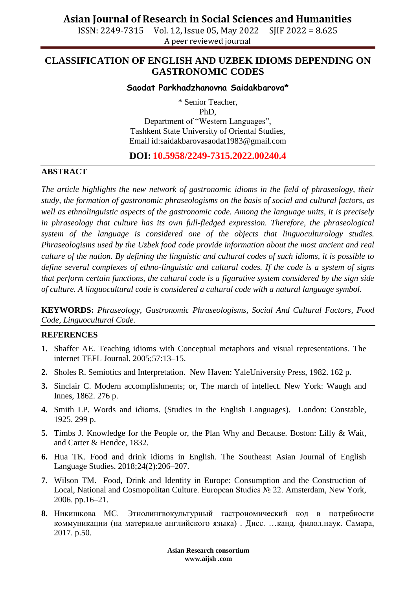# **Asian Journal of Research in Social Sciences and Humanities**

ISSN: 2249-7315 Vol. 12, Issue 05, May 2022 SJIF 2022 = 8.625 A peer reviewed journal

## **CLASSIFICATION OF ENGLISH AND UZBEK IDIOMS DEPENDING ON GASTRONOMIC CODES**

### **Saodat Parkhadzhanovna Saidakbarova\***

\* Senior Teacher,

PhD,

Department of "Western Languages", Tashkent State University of Oriental Studies, Email id:saidakbarovasaodat1983@gmail.com

## **DOI: 10.5958/2249-7315.2022.00240.4**

#### **ABSTRACT**

*The article highlights the new network of gastronomic idioms in the field of phraseology, their study, the formation of gastronomic phraseologisms on the basis of social and cultural factors, as well as ethnolinguistic aspects of the gastronomic code. Among the language units, it is precisely in phraseology that culture has its own full-fledged expression. Therefore, the phraseological system of the language is considered one of the objects that linguoculturology studies. Phraseologisms used by the Uzbek food code provide information about the most ancient and real culture of the nation. By defining the linguistic and cultural codes of such idioms, it is possible to define several complexes of ethno-linguistic and cultural codes. If the code is a system of signs that perform certain functions, the cultural code is a figurative system considered by the sign side of culture. A linguocultural code is considered a cultural code with a natural language symbol.*

**KEYWORDS:** *Phraseology, Gastronomic Phraseologisms, Social And Cultural Factors, Food Code, Linguocultural Code.*

#### **REFERENCES**

- **1.** Shaffer AE. Teaching idioms with Conceptual metaphors and visual representations. The internet TEFL Journal. 2005;57:13–15.
- **2.** Sholes R. Semiotics and Interpretation. New Haven: YaleUniversity Press, 1982. 162 p.
- **3.** Sinclair C. Modern accomplishments; or, The march of intellect. New York: Waugh and Innes, 1862. 276 p.
- **4.** Smith LP. Words and idioms. (Studies in the English Languages). London: Constable, 1925. 299 p.
- **5.** Timbs J. Knowledge for the People or, the Plan Why and Because. Boston: Lilly & Wait, and Carter & Hendee, 1832.
- **6.** Hua TK. Food and drink idioms in English. The Southeast Asian Journal of English Language Studies. 2018;24(2):206–207.
- **7.** Wilson TM. Food, Drink and Identity in Europe: Consumption and the Construction of Local, National and Cosmopolitan Culture. European Studies № 22. Amsterdam, New York, 2006. pp.16–21.
- **8.** Никишкова МС. Этнолингвокультурный гастрономический код в потребности коммуникации (на материале английского языка) . Дисс. …канд. филол.наук. Самара, 2017. p.50.